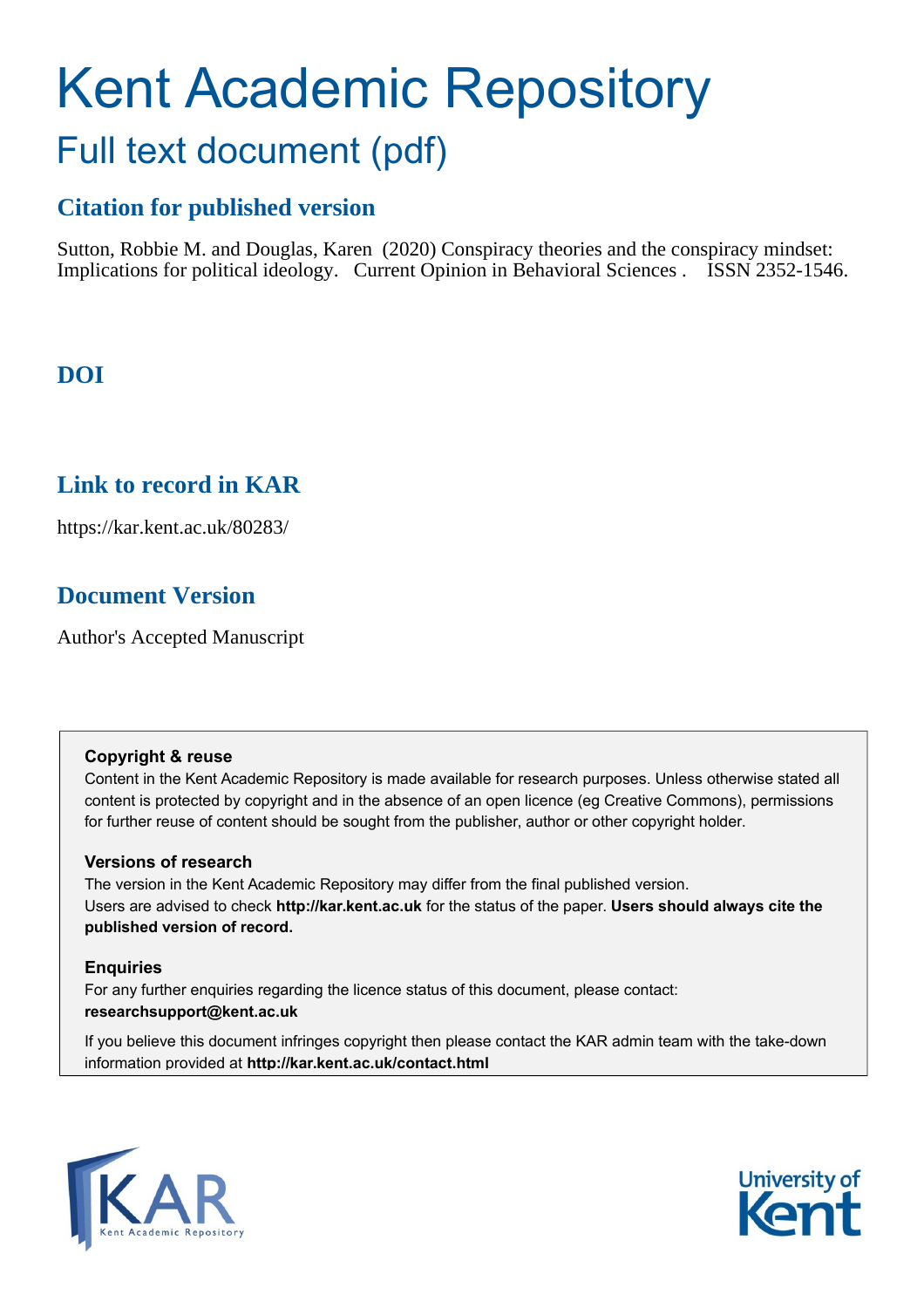# Kent Academic Repository Full text document (pdf)

# **Citation for published version**

Sutton, Robbie M. and Douglas, Karen (2020) Conspiracy theories and the conspiracy mindset: Implications for political ideology. Current Opinion in Behavioral Sciences . ISSN 2352-1546.

# **DOI**

# **Link to record in KAR**

https://kar.kent.ac.uk/80283/

# **Document Version**

Author's Accepted Manuscript

### **Copyright & reuse**

Content in the Kent Academic Repository is made available for research purposes. Unless otherwise stated all content is protected by copyright and in the absence of an open licence (eg Creative Commons), permissions for further reuse of content should be sought from the publisher, author or other copyright holder.

### **Versions of research**

The version in the Kent Academic Repository may differ from the final published version. Users are advised to check **http://kar.kent.ac.uk** for the status of the paper. **Users should always cite the published version of record.**

### **Enquiries**

For any further enquiries regarding the licence status of this document, please contact: **researchsupport@kent.ac.uk**

If you believe this document infringes copyright then please contact the KAR admin team with the take-down information provided at **http://kar.kent.ac.uk/contact.html**



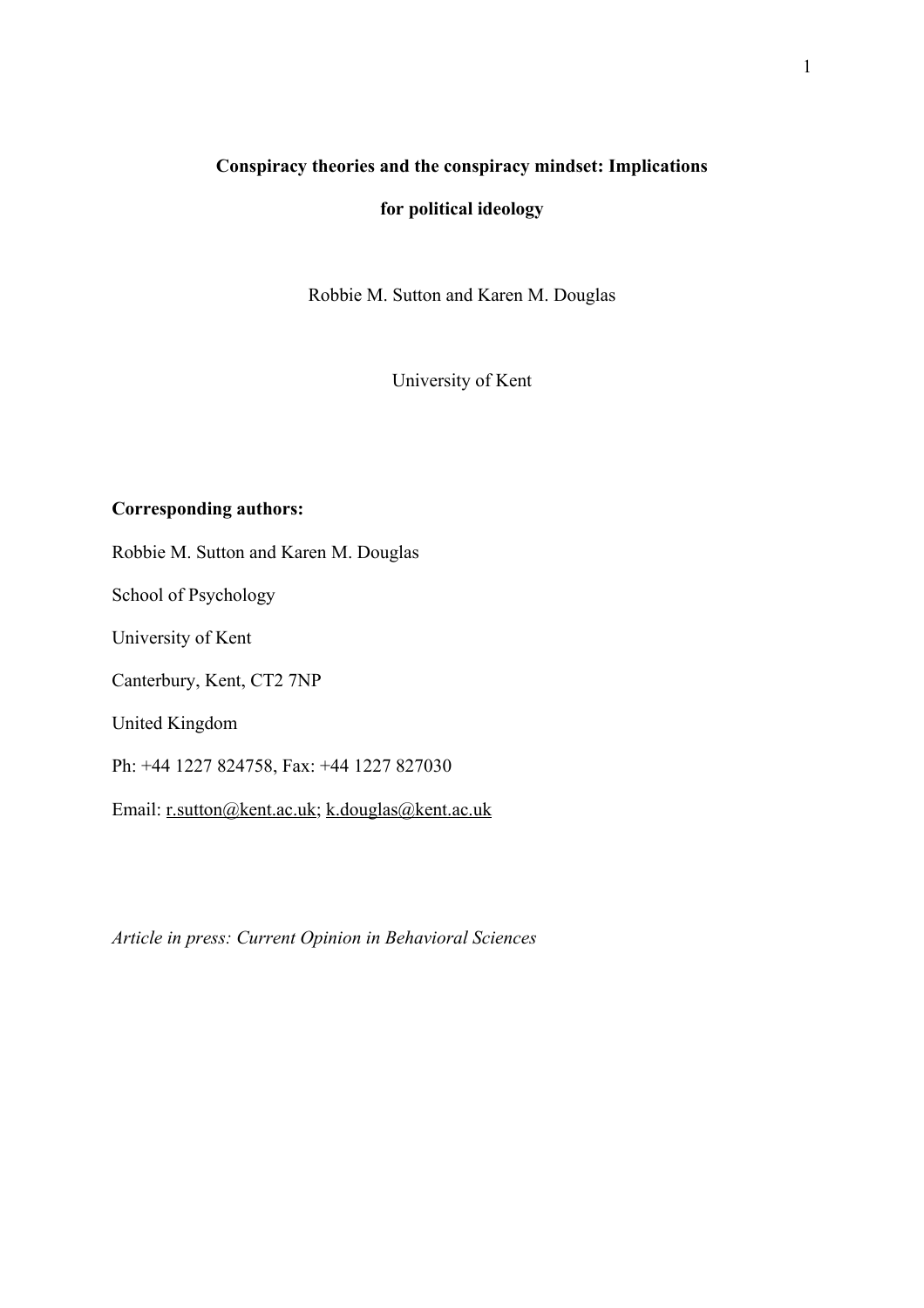## **Conspiracy theories and the conspiracy mindset: Implications**

## **for political ideology**

Robbie M. Sutton and Karen M. Douglas

University of Kent

## **Corresponding authors:**

Robbie M. Sutton and Karen M. Douglas

School of Psychology

University of Kent

Canterbury, Kent, CT2 7NP

United Kingdom

Ph: +44 1227 824758, Fax: +44 1227 827030

Email: r.sutton@kent.ac.uk; k.douglas@kent.ac.uk

*Article in press: Current Opinion in Behavioral Sciences*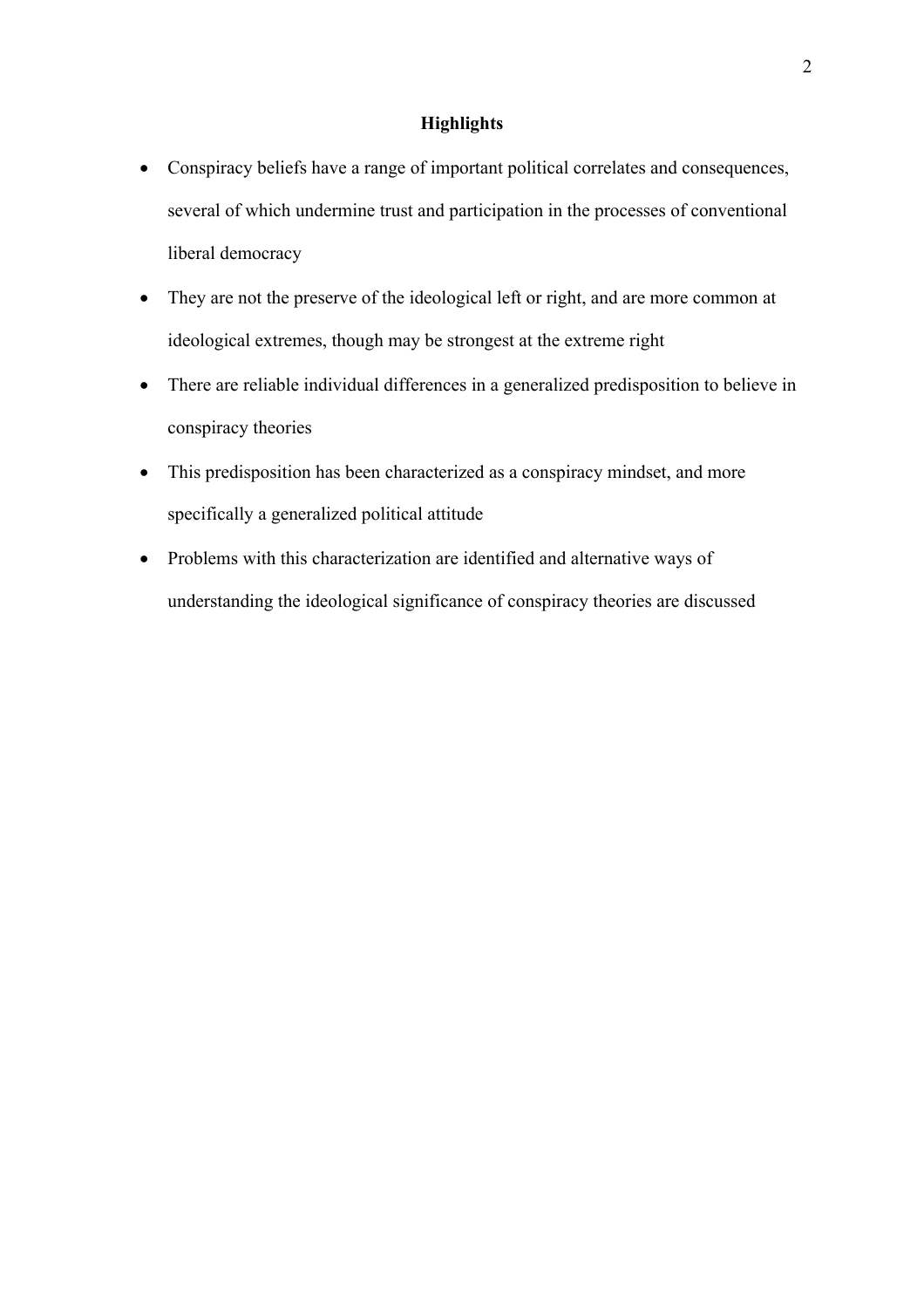## **Highlights**

- Conspiracy beliefs have a range of important political correlates and consequences, several of which undermine trust and participation in the processes of conventional liberal democracy
- They are not the preserve of the ideological left or right, and are more common at ideological extremes, though may be strongest at the extreme right
- There are reliable individual differences in a generalized predisposition to believe in conspiracy theories
- This predisposition has been characterized as a conspiracy mindset, and more specifically a generalized political attitude
- Problems with this characterization are identified and alternative ways of understanding the ideological significance of conspiracy theories are discussed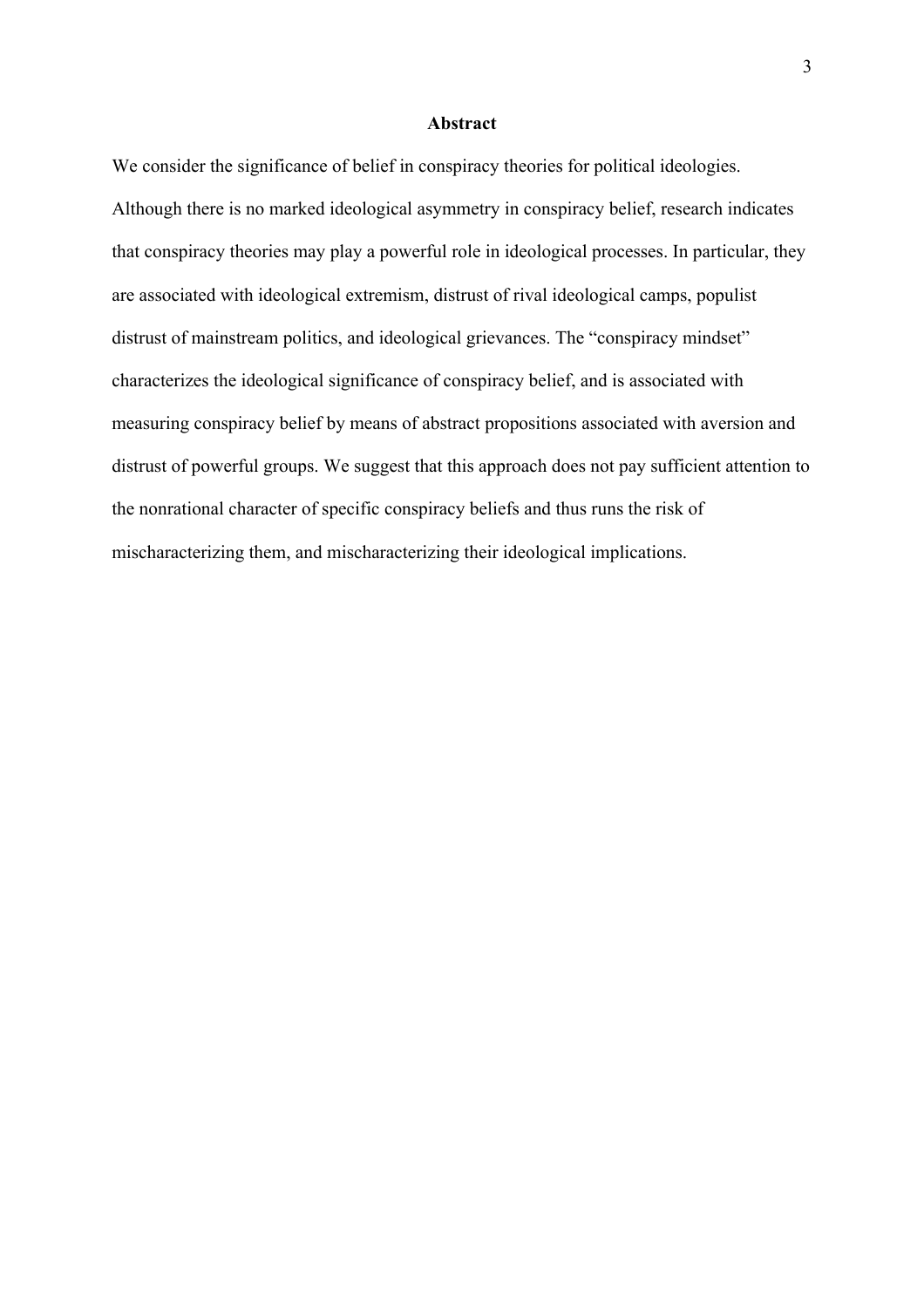#### **Abstract**

We consider the significance of belief in conspiracy theories for political ideologies. Although there is no marked ideological asymmetry in conspiracy belief, research indicates that conspiracy theories may play a powerful role in ideological processes. In particular, they are associated with ideological extremism, distrust of rival ideological camps, populist distrust of mainstream politics, and ideological grievances. The "conspiracy mindset" characterizes the ideological significance of conspiracy belief, and is associated with measuring conspiracy belief by means of abstract propositions associated with aversion and distrust of powerful groups. We suggest that this approach does not pay sufficient attention to the nonrational character of specific conspiracy beliefs and thus runs the risk of mischaracterizing them, and mischaracterizing their ideological implications.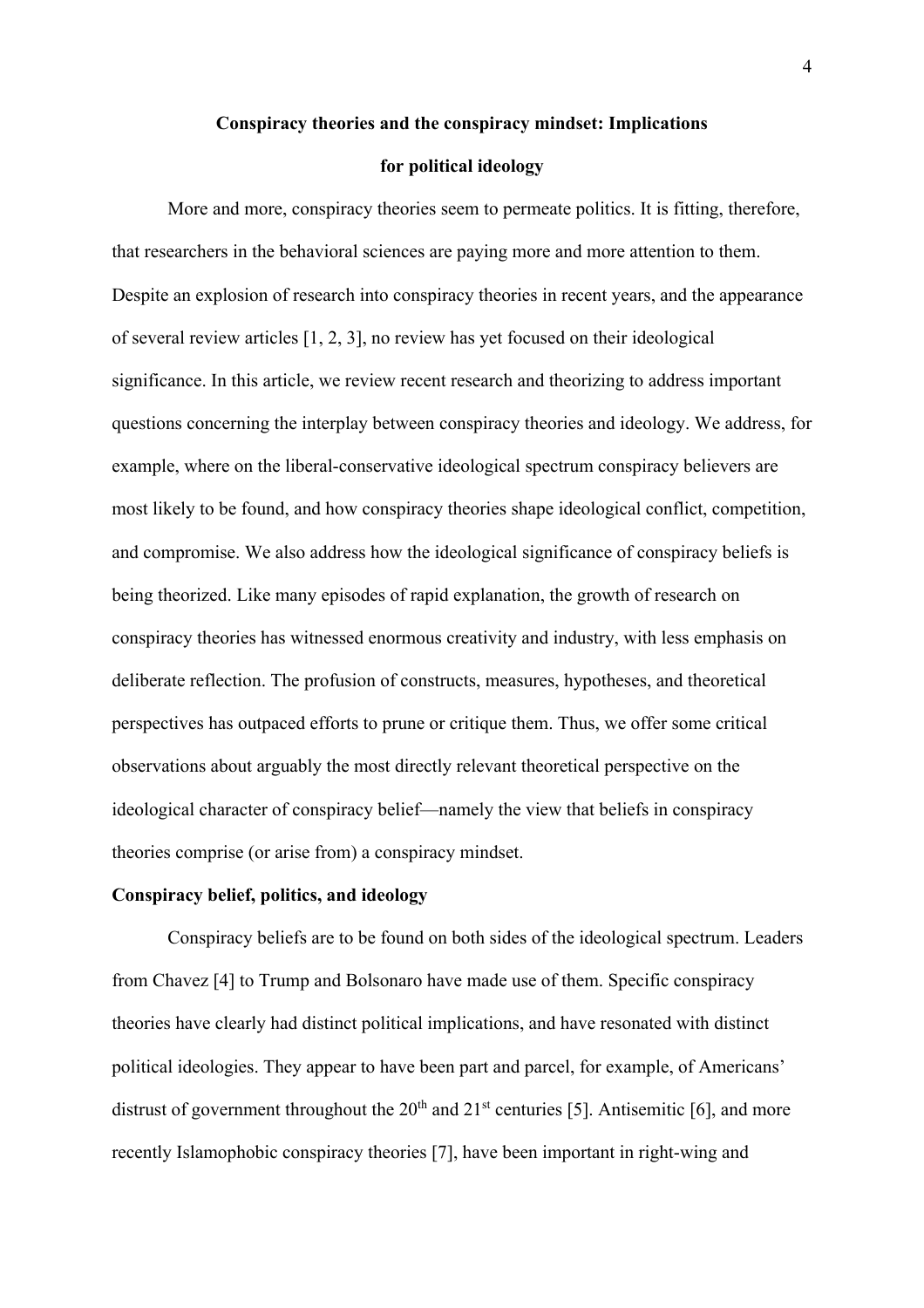#### **Conspiracy theories and the conspiracy mindset: Implications**

#### **for political ideology**

More and more, conspiracy theories seem to permeate politics. It is fitting, therefore, that researchers in the behavioral sciences are paying more and more attention to them. Despite an explosion of research into conspiracy theories in recent years, and the appearance of several review articles [1, 2, 3], no review has yet focused on their ideological significance. In this article, we review recent research and theorizing to address important questions concerning the interplay between conspiracy theories and ideology. We address, for example, where on the liberal-conservative ideological spectrum conspiracy believers are most likely to be found, and how conspiracy theories shape ideological conflict, competition, and compromise. We also address how the ideological significance of conspiracy beliefs is being theorized. Like many episodes of rapid explanation, the growth of research on conspiracy theories has witnessed enormous creativity and industry, with less emphasis on deliberate reflection. The profusion of constructs, measures, hypotheses, and theoretical perspectives has outpaced efforts to prune or critique them. Thus, we offer some critical observations about arguably the most directly relevant theoretical perspective on the ideological character of conspiracy belief—namely the view that beliefs in conspiracy theories comprise (or arise from) a conspiracy mindset.

### **Conspiracy belief, politics, and ideology**

Conspiracy beliefs are to be found on both sides of the ideological spectrum. Leaders from Chavez [4] to Trump and Bolsonaro have made use of them. Specific conspiracy theories have clearly had distinct political implications, and have resonated with distinct political ideologies. They appear to have been part and parcel, for example, of Americans' distrust of government throughout the  $20<sup>th</sup>$  and  $21<sup>st</sup>$  centuries [5]. Antisemitic [6], and more recently Islamophobic conspiracy theories [7], have been important in right-wing and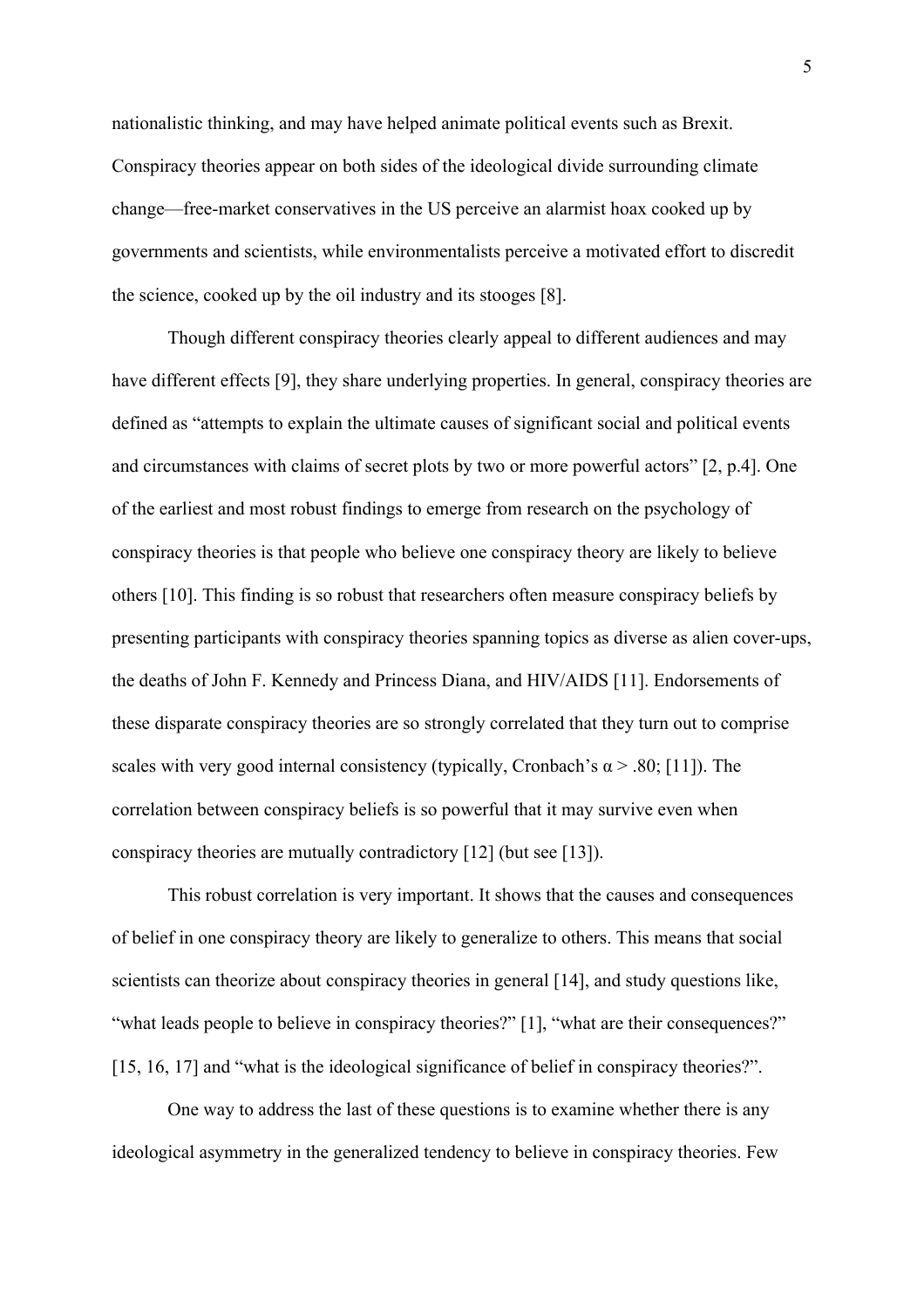nationalistic thinking, and may have helped animate political events such as Brexit. Conspiracy theories appear on both sides of the ideological divide surrounding climate change—free-market conservatives in the US perceive an alarmist hoax cooked up by governments and scientists, while environmentalists perceive a motivated effort to discredit the science, cooked up by the oil industry and its stooges [8].

Though different conspiracy theories clearly appeal to different audiences and may have different effects [9], they share underlying properties. In general, conspiracy theories are defined as "attempts to explain the ultimate causes of significant social and political events and circumstances with claims of secret plots by two or more powerful actors" [2, p.4]. One of the earliest and most robust findings to emerge from research on the psychology of conspiracy theories is that people who believe one conspiracy theory are likely to believe others [10]. This finding is so robust that researchers often measure conspiracy beliefs by presenting participants with conspiracy theories spanning topics as diverse as alien cover-ups, the deaths of John F. Kennedy and Princess Diana, and HIV/AIDS [11]. Endorsements of these disparate conspiracy theories are so strongly correlated that they turn out to comprise scales with very good internal consistency (typically, Cronbach's  $\alpha$  > .80; [11]). The correlation between conspiracy beliefs is so powerful that it may survive even when conspiracy theories are mutually contradictory [12] (but see [13]).

This robust correlation is very important. It shows that the causes and consequences of belief in one conspiracy theory are likely to generalize to others. This means that social scientists can theorize about conspiracy theories in general [14], and study questions like, "what leads people to believe in conspiracy theories?" [1], "what are their consequences?" [15, 16, 17] and "what is the ideological significance of belief in conspiracy theories?".

One way to address the last of these questions is to examine whether there is any ideological asymmetry in the generalized tendency to believe in conspiracy theories. Few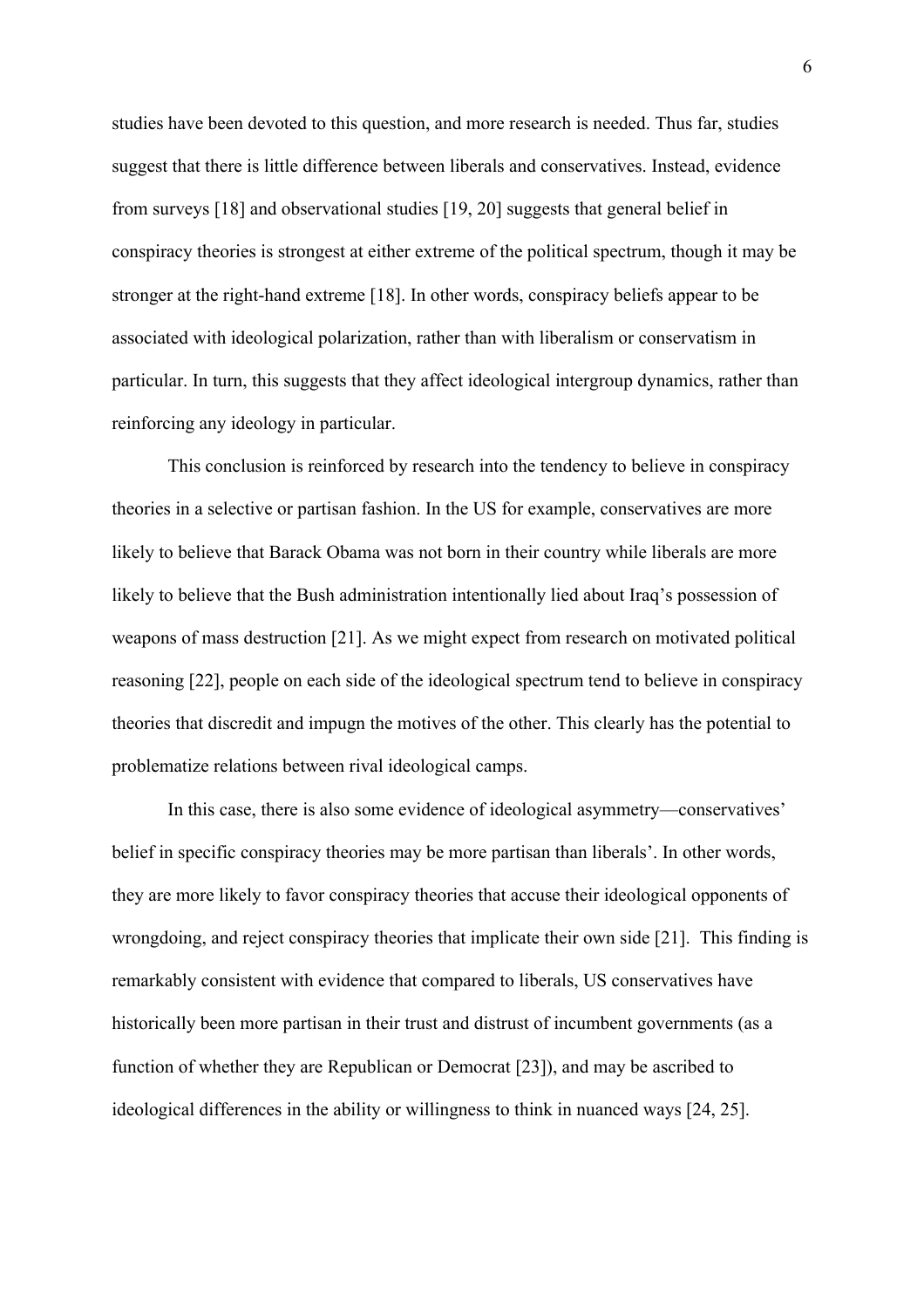studies have been devoted to this question, and more research is needed. Thus far, studies suggest that there is little difference between liberals and conservatives. Instead, evidence from surveys [18] and observational studies [19, 20] suggests that general belief in conspiracy theories is strongest at either extreme of the political spectrum, though it may be stronger at the right-hand extreme [18]. In other words, conspiracy beliefs appear to be associated with ideological polarization, rather than with liberalism or conservatism in particular. In turn, this suggests that they affect ideological intergroup dynamics, rather than reinforcing any ideology in particular.

This conclusion is reinforced by research into the tendency to believe in conspiracy theories in a selective or partisan fashion. In the US for example, conservatives are more likely to believe that Barack Obama was not born in their country while liberals are more likely to believe that the Bush administration intentionally lied about Iraq's possession of weapons of mass destruction [21]. As we might expect from research on motivated political reasoning [22], people on each side of the ideological spectrum tend to believe in conspiracy theories that discredit and impugn the motives of the other. This clearly has the potential to problematize relations between rival ideological camps.

In this case, there is also some evidence of ideological asymmetry—conservatives' belief in specific conspiracy theories may be more partisan than liberals'. In other words, they are more likely to favor conspiracy theories that accuse their ideological opponents of wrongdoing, and reject conspiracy theories that implicate their own side [21]. This finding is remarkably consistent with evidence that compared to liberals, US conservatives have historically been more partisan in their trust and distrust of incumbent governments (as a function of whether they are Republican or Democrat [23]), and may be ascribed to ideological differences in the ability or willingness to think in nuanced ways [24, 25].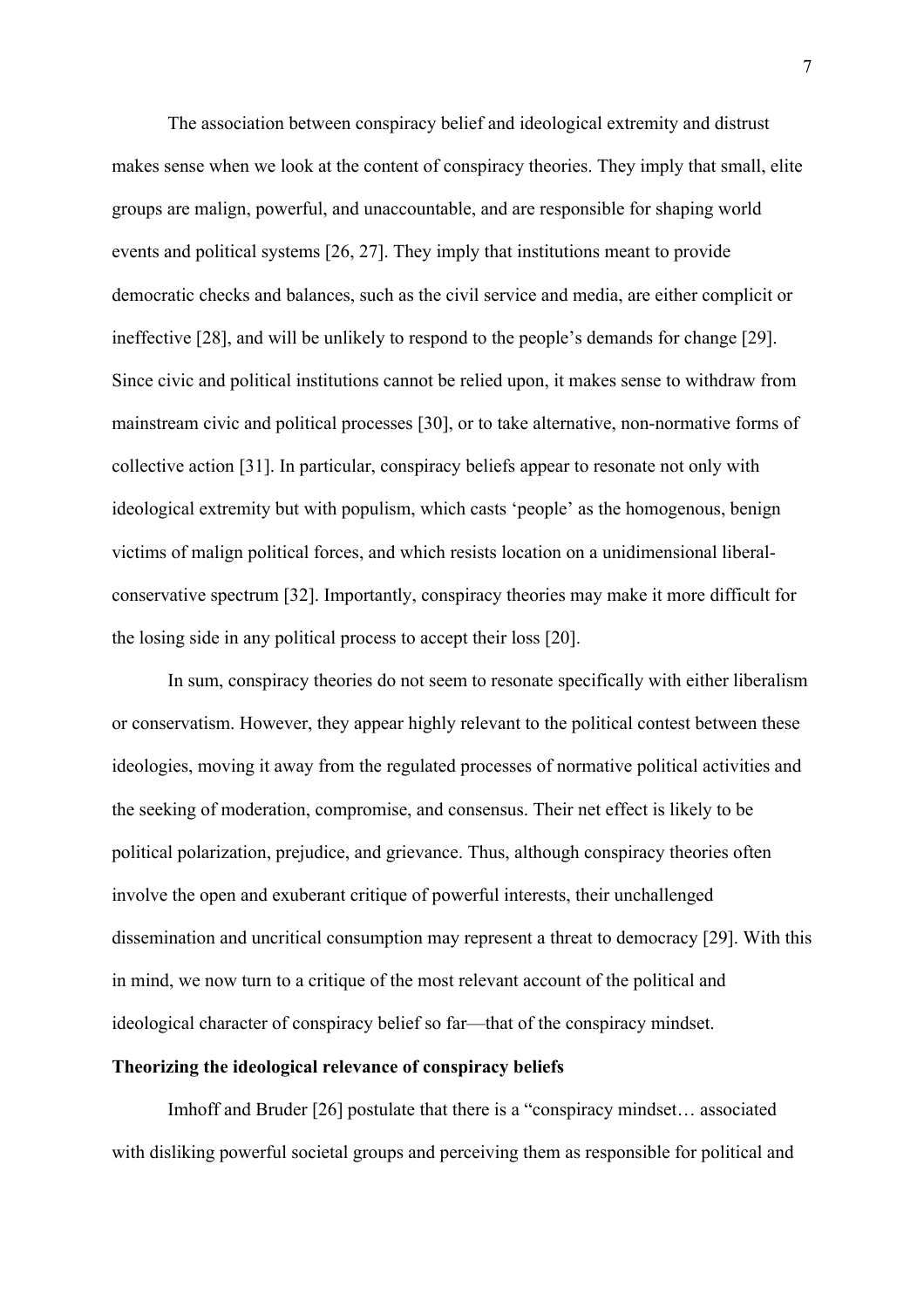The association between conspiracy belief and ideological extremity and distrust makes sense when we look at the content of conspiracy theories. They imply that small, elite groups are malign, powerful, and unaccountable, and are responsible for shaping world events and political systems [26, 27]. They imply that institutions meant to provide democratic checks and balances, such as the civil service and media, are either complicit or ineffective [28], and will be unlikely to respond to the people's demands for change [29]. Since civic and political institutions cannot be relied upon, it makes sense to withdraw from mainstream civic and political processes [30], or to take alternative, non-normative forms of collective action [31]. In particular, conspiracy beliefs appear to resonate not only with ideological extremity but with populism, which casts 'people' as the homogenous, benign victims of malign political forces, and which resists location on a unidimensional liberalconservative spectrum [32]. Importantly, conspiracy theories may make it more difficult for the losing side in any political process to accept their loss [20].

In sum, conspiracy theories do not seem to resonate specifically with either liberalism or conservatism. However, they appear highly relevant to the political contest between these ideologies, moving it away from the regulated processes of normative political activities and the seeking of moderation, compromise, and consensus. Their net effect is likely to be political polarization, prejudice, and grievance. Thus, although conspiracy theories often involve the open and exuberant critique of powerful interests, their unchallenged dissemination and uncritical consumption may represent a threat to democracy [29]. With this in mind, we now turn to a critique of the most relevant account of the political and ideological character of conspiracy belief so far—that of the conspiracy mindset.

#### **Theorizing the ideological relevance of conspiracy beliefs**

Imhoff and Bruder [26] postulate that there is a "conspiracy mindset… associated with disliking powerful societal groups and perceiving them as responsible for political and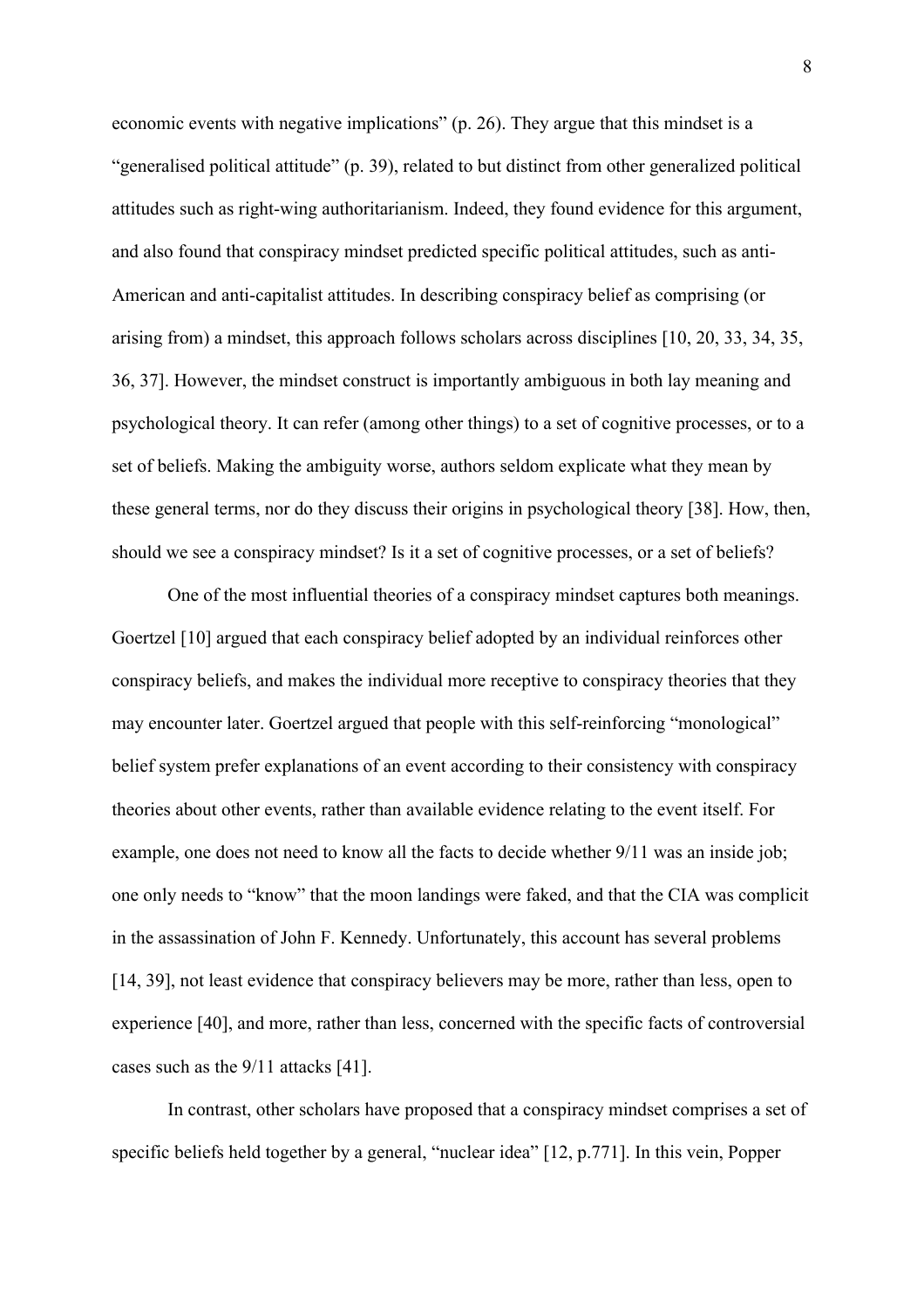economic events with negative implications" (p. 26). They argue that this mindset is a "generalised political attitude" (p. 39), related to but distinct from other generalized political attitudes such as right-wing authoritarianism. Indeed, they found evidence for this argument, and also found that conspiracy mindset predicted specific political attitudes, such as anti-American and anti-capitalist attitudes. In describing conspiracy belief as comprising (or arising from) a mindset, this approach follows scholars across disciplines [10, 20, 33, 34, 35, 36, 37]. However, the mindset construct is importantly ambiguous in both lay meaning and psychological theory. It can refer (among other things) to a set of cognitive processes, or to a set of beliefs. Making the ambiguity worse, authors seldom explicate what they mean by these general terms, nor do they discuss their origins in psychological theory [38]. How, then, should we see a conspiracy mindset? Is it a set of cognitive processes, or a set of beliefs?

One of the most influential theories of a conspiracy mindset captures both meanings. Goertzel [10] argued that each conspiracy belief adopted by an individual reinforces other conspiracy beliefs, and makes the individual more receptive to conspiracy theories that they may encounter later. Goertzel argued that people with this self-reinforcing "monological" belief system prefer explanations of an event according to their consistency with conspiracy theories about other events, rather than available evidence relating to the event itself. For example, one does not need to know all the facts to decide whether 9/11 was an inside job; one only needs to "know" that the moon landings were faked, and that the CIA was complicit in the assassination of John F. Kennedy. Unfortunately, this account has several problems [14, 39], not least evidence that conspiracy believers may be more, rather than less, open to experience [40], and more, rather than less, concerned with the specific facts of controversial cases such as the 9/11 attacks [41].

In contrast, other scholars have proposed that a conspiracy mindset comprises a set of specific beliefs held together by a general, "nuclear idea" [12, p.771]. In this vein, Popper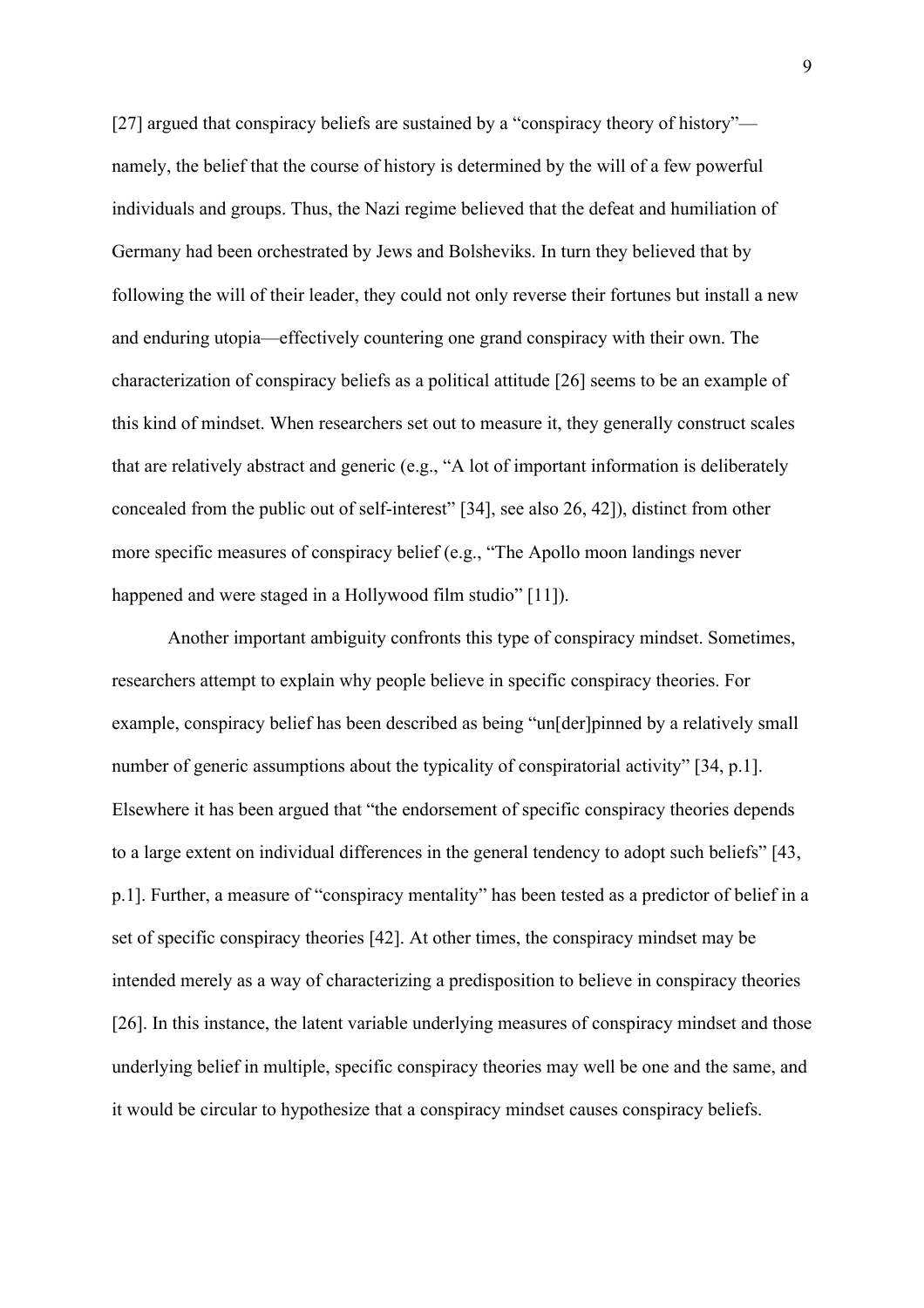[27] argued that conspiracy beliefs are sustained by a "conspiracy theory of history" namely, the belief that the course of history is determined by the will of a few powerful individuals and groups. Thus, the Nazi regime believed that the defeat and humiliation of Germany had been orchestrated by Jews and Bolsheviks. In turn they believed that by following the will of their leader, they could not only reverse their fortunes but install a new and enduring utopia—effectively countering one grand conspiracy with their own. The characterization of conspiracy beliefs as a political attitude [26] seems to be an example of this kind of mindset. When researchers set out to measure it, they generally construct scales that are relatively abstract and generic (e.g., "A lot of important information is deliberately concealed from the public out of self-interest" [34], see also 26, 42]), distinct from other more specific measures of conspiracy belief (e.g., "The Apollo moon landings never happened and were staged in a Hollywood film studio" [11]).

Another important ambiguity confronts this type of conspiracy mindset. Sometimes, researchers attempt to explain why people believe in specific conspiracy theories. For example, conspiracy belief has been described as being "un[der]pinned by a relatively small number of generic assumptions about the typicality of conspiratorial activity" [34, p.1]. Elsewhere it has been argued that "the endorsement of specific conspiracy theories depends to a large extent on individual differences in the general tendency to adopt such beliefs" [43, p.1]. Further, a measure of "conspiracy mentality" has been tested as a predictor of belief in a set of specific conspiracy theories [42]. At other times, the conspiracy mindset may be intended merely as a way of characterizing a predisposition to believe in conspiracy theories [26]. In this instance, the latent variable underlying measures of conspiracy mindset and those underlying belief in multiple, specific conspiracy theories may well be one and the same, and it would be circular to hypothesize that a conspiracy mindset causes conspiracy beliefs.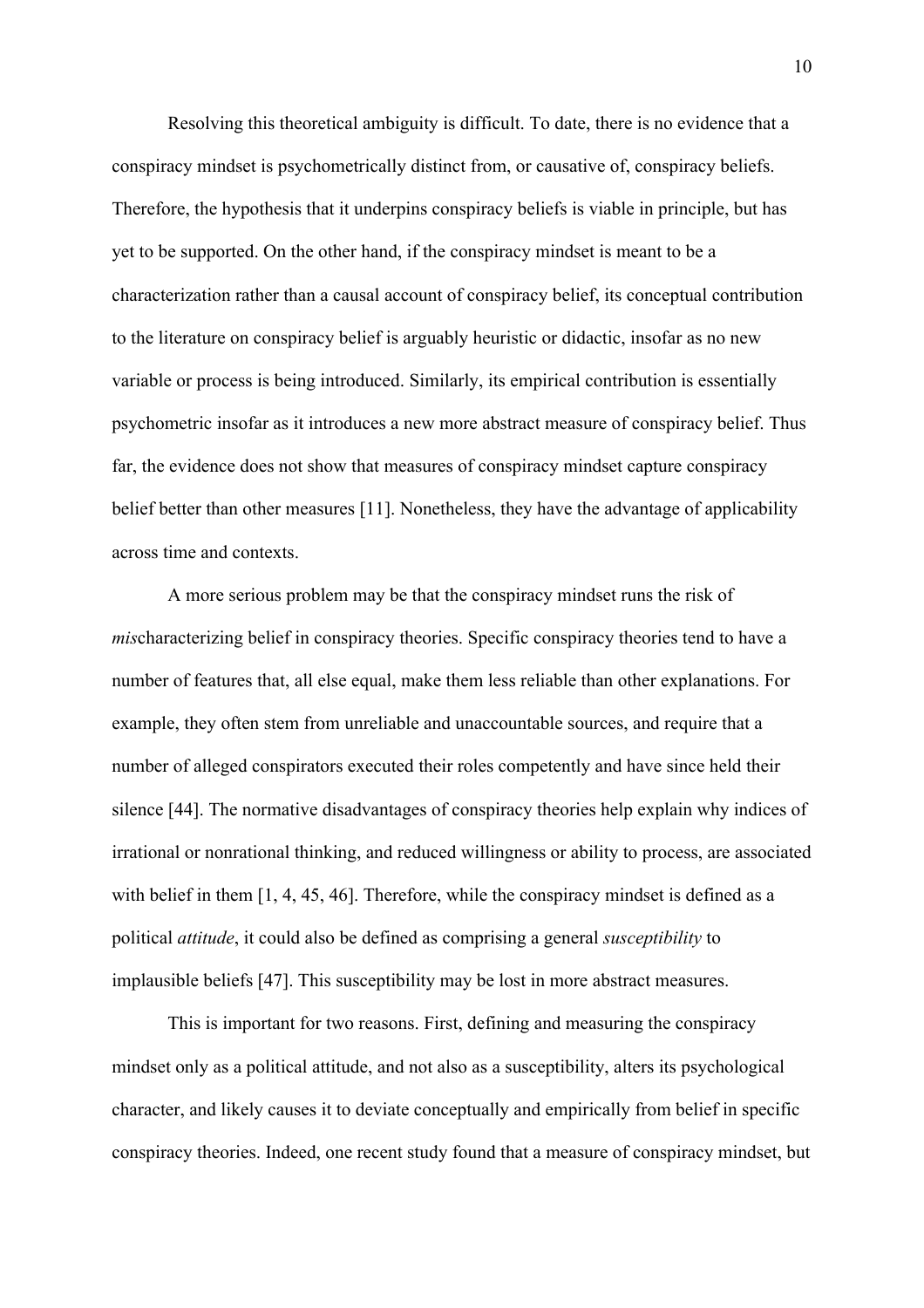Resolving this theoretical ambiguity is difficult. To date, there is no evidence that a conspiracy mindset is psychometrically distinct from, or causative of, conspiracy beliefs. Therefore, the hypothesis that it underpins conspiracy beliefs is viable in principle, but has yet to be supported. On the other hand, if the conspiracy mindset is meant to be a characterization rather than a causal account of conspiracy belief, its conceptual contribution to the literature on conspiracy belief is arguably heuristic or didactic, insofar as no new variable or process is being introduced. Similarly, its empirical contribution is essentially psychometric insofar as it introduces a new more abstract measure of conspiracy belief. Thus far, the evidence does not show that measures of conspiracy mindset capture conspiracy belief better than other measures [11]. Nonetheless, they have the advantage of applicability across time and contexts.

A more serious problem may be that the conspiracy mindset runs the risk of *mis*characterizing belief in conspiracy theories. Specific conspiracy theories tend to have a number of features that, all else equal, make them less reliable than other explanations. For example, they often stem from unreliable and unaccountable sources, and require that a number of alleged conspirators executed their roles competently and have since held their silence [44]. The normative disadvantages of conspiracy theories help explain why indices of irrational or nonrational thinking, and reduced willingness or ability to process, are associated with belief in them [1, 4, 45, 46]. Therefore, while the conspiracy mindset is defined as a political *attitude*, it could also be defined as comprising a general *susceptibility* to implausible beliefs [47]. This susceptibility may be lost in more abstract measures.

This is important for two reasons. First, defining and measuring the conspiracy mindset only as a political attitude, and not also as a susceptibility, alters its psychological character, and likely causes it to deviate conceptually and empirically from belief in specific conspiracy theories. Indeed, one recent study found that a measure of conspiracy mindset, but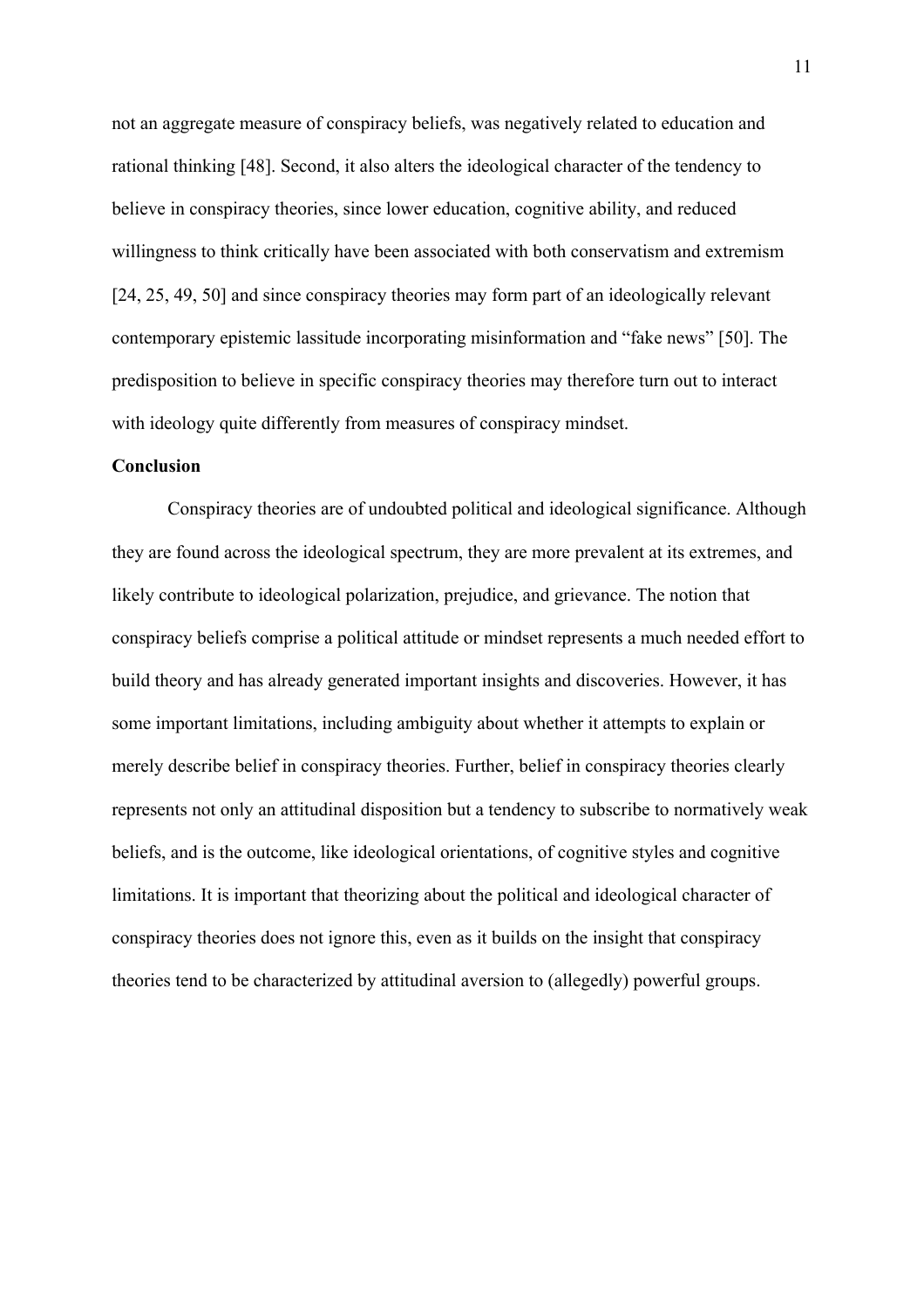not an aggregate measure of conspiracy beliefs, was negatively related to education and rational thinking [48]. Second, it also alters the ideological character of the tendency to believe in conspiracy theories, since lower education, cognitive ability, and reduced willingness to think critically have been associated with both conservatism and extremism [24, 25, 49, 50] and since conspiracy theories may form part of an ideologically relevant contemporary epistemic lassitude incorporating misinformation and "fake news" [50]. The predisposition to believe in specific conspiracy theories may therefore turn out to interact with ideology quite differently from measures of conspiracy mindset.

### **Conclusion**

Conspiracy theories are of undoubted political and ideological significance. Although they are found across the ideological spectrum, they are more prevalent at its extremes, and likely contribute to ideological polarization, prejudice, and grievance. The notion that conspiracy beliefs comprise a political attitude or mindset represents a much needed effort to build theory and has already generated important insights and discoveries. However, it has some important limitations, including ambiguity about whether it attempts to explain or merely describe belief in conspiracy theories. Further, belief in conspiracy theories clearly represents not only an attitudinal disposition but a tendency to subscribe to normatively weak beliefs, and is the outcome, like ideological orientations, of cognitive styles and cognitive limitations. It is important that theorizing about the political and ideological character of conspiracy theories does not ignore this, even as it builds on the insight that conspiracy theories tend to be characterized by attitudinal aversion to (allegedly) powerful groups.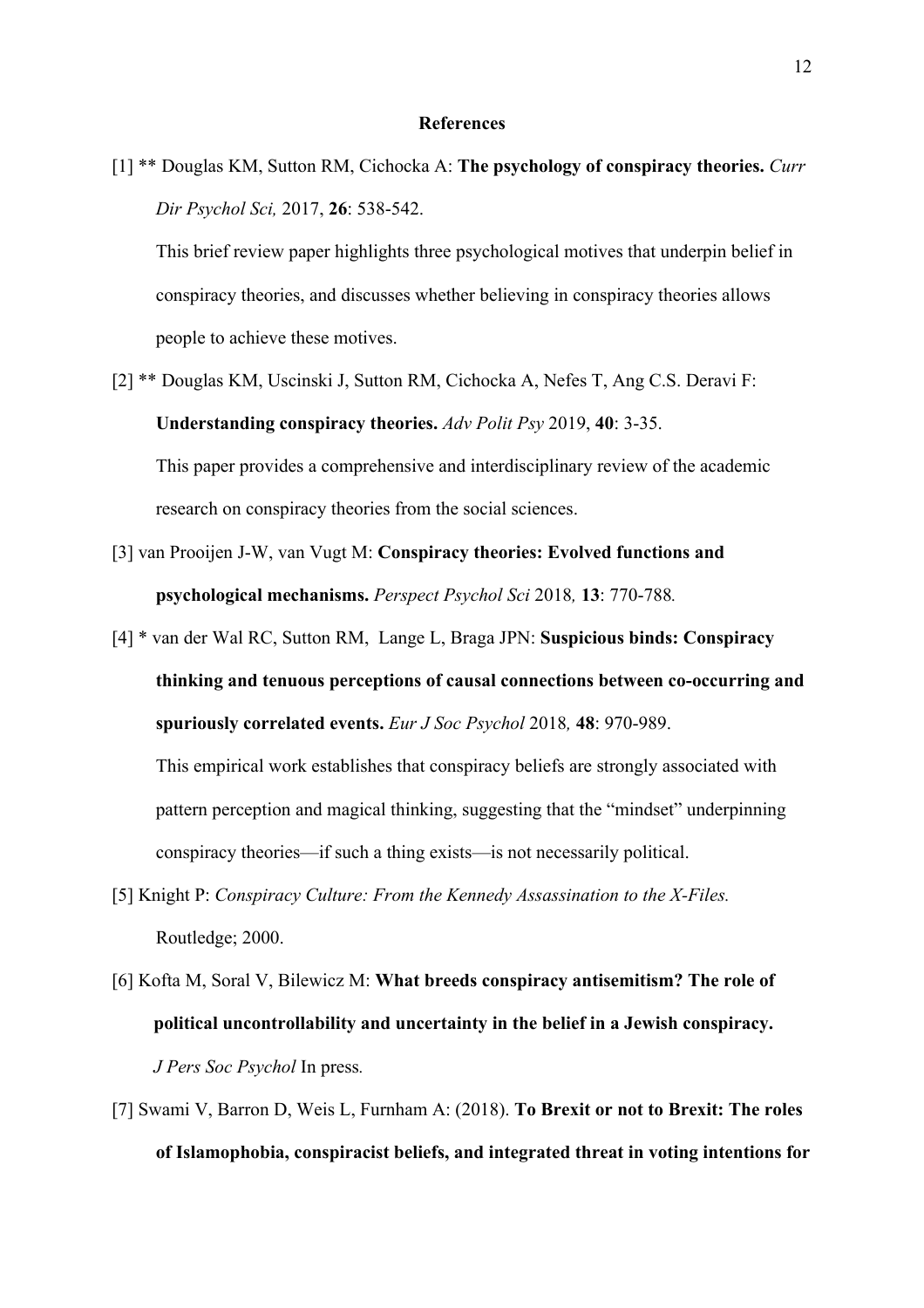#### **References**

[1] \*\* Douglas KM, Sutton RM, Cichocka A: **The psychology of conspiracy theories.** *Curr Dir Psychol Sci,* 2017, **26**: 538-542.

This brief review paper highlights three psychological motives that underpin belief in conspiracy theories, and discusses whether believing in conspiracy theories allows people to achieve these motives.

- [2] \*\* Douglas KM, Uscinski J, Sutton RM, Cichocka A, Nefes T, Ang C.S. Deravi F: **Understanding conspiracy theories.** *Adv Polit Psy* 2019, **40**: 3-35. This paper provides a comprehensive and interdisciplinary review of the academic research on conspiracy theories from the social sciences.
- [3] van Prooijen J-W, van Vugt M: **Conspiracy theories: Evolved functions and psychological mechanisms.** *Perspect Psychol Sci* 2018*,* **13**: 770-788*.*
- [4] \* van der Wal RC, Sutton RM, Lange L, Braga JPN: **Suspicious binds: Conspiracy thinking and tenuous perceptions of causal connections between co-occurring and spuriously correlated events.** *Eur J Soc Psychol* 2018*,* **48**: 970-989. This empirical work establishes that conspiracy beliefs are strongly associated with

pattern perception and magical thinking, suggesting that the "mindset" underpinning

conspiracy theories—if such a thing exists—is not necessarily political.

- [5] Knight P: *Conspiracy Culture: From the Kennedy Assassination to the X-Files.* Routledge; 2000.
- [6] Kofta M, Soral V, Bilewicz M: **What breeds conspiracy antisemitism? The role of political uncontrollability and uncertainty in the belief in a Jewish conspiracy.** *J Pers Soc Psychol* In press*.*
- [7] Swami V, Barron D, Weis L, Furnham A: (2018). **To Brexit or not to Brexit: The roles of Islamophobia, conspiracist beliefs, and integrated threat in voting intentions for**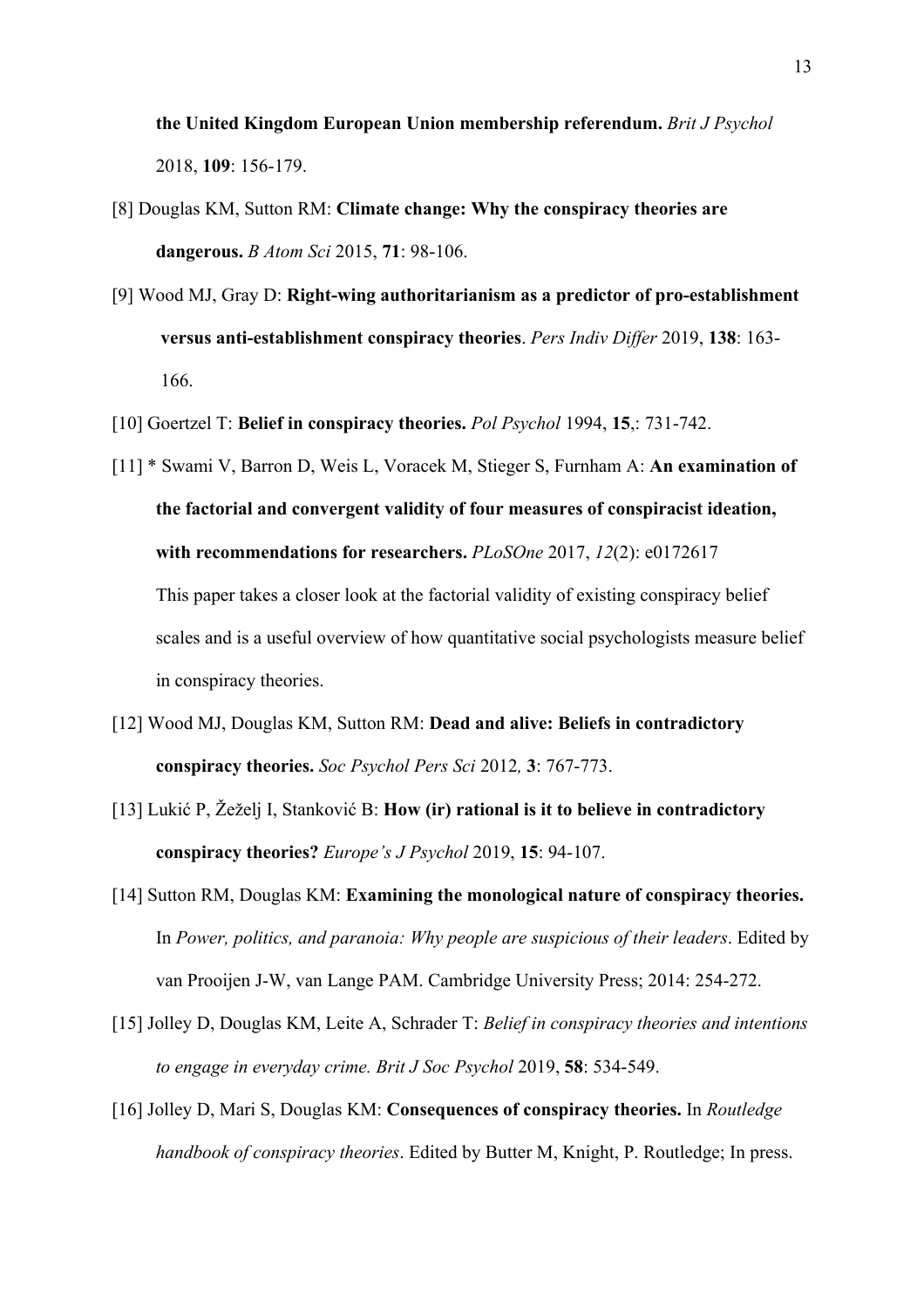**the United Kingdom European Union membership referendum.** *Brit J Psychol* 2018, **109**: 156-179.

- [8] Douglas KM, Sutton RM: **Climate change: Why the conspiracy theories are dangerous.** *B Atom Sci* 2015, **71**: 98-106.
- [9] Wood MJ, Gray D: **Right-wing authoritarianism as a predictor of pro-establishment versus anti-establishment conspiracy theories**. *Pers Indiv Differ* 2019, **138**: 163- 166.
- [10] Goertzel T: **Belief in conspiracy theories.** *Pol Psychol* 1994, **15**,: 731-742.
- [11] \* Swami V, Barron D, Weis L, Voracek M, Stieger S, Furnham A: **An examination of the factorial and convergent validity of four measures of conspiracist ideation, with recommendations for researchers.** *PLoSOne* 2017, *12*(2): e0172617

This paper takes a closer look at the factorial validity of existing conspiracy belief scales and is a useful overview of how quantitative social psychologists measure belief in conspiracy theories.

- [12] Wood MJ, Douglas KM, Sutton RM: **Dead and alive: Beliefs in contradictory conspiracy theories.** *Soc Psychol Pers Sci* 2012*,* **3**: 767-773.
- [13] Lukić P, Žeželj I, Stanković B: **How (ir) rational is it to believe in contradictory conspiracy theories?** *Europe's J Psychol* 2019, **15**: 94-107.
- [14] Sutton RM, Douglas KM: **Examining the monological nature of conspiracy theories.** In *Power, politics, and paranoia: Why people are suspicious of their leaders*. Edited by van Prooijen J-W, van Lange PAM. Cambridge University Press; 2014: 254-272.
- [15] Jolley D, Douglas KM, Leite A, Schrader T: *Belief in conspiracy theories and intentions to engage in everyday crime. Brit J Soc Psychol* 2019, **58**: 534-549.
- [16] Jolley D, Mari S, Douglas KM: **Consequences of conspiracy theories.** In *Routledge handbook of conspiracy theories*. Edited by Butter M, Knight, P. Routledge; In press.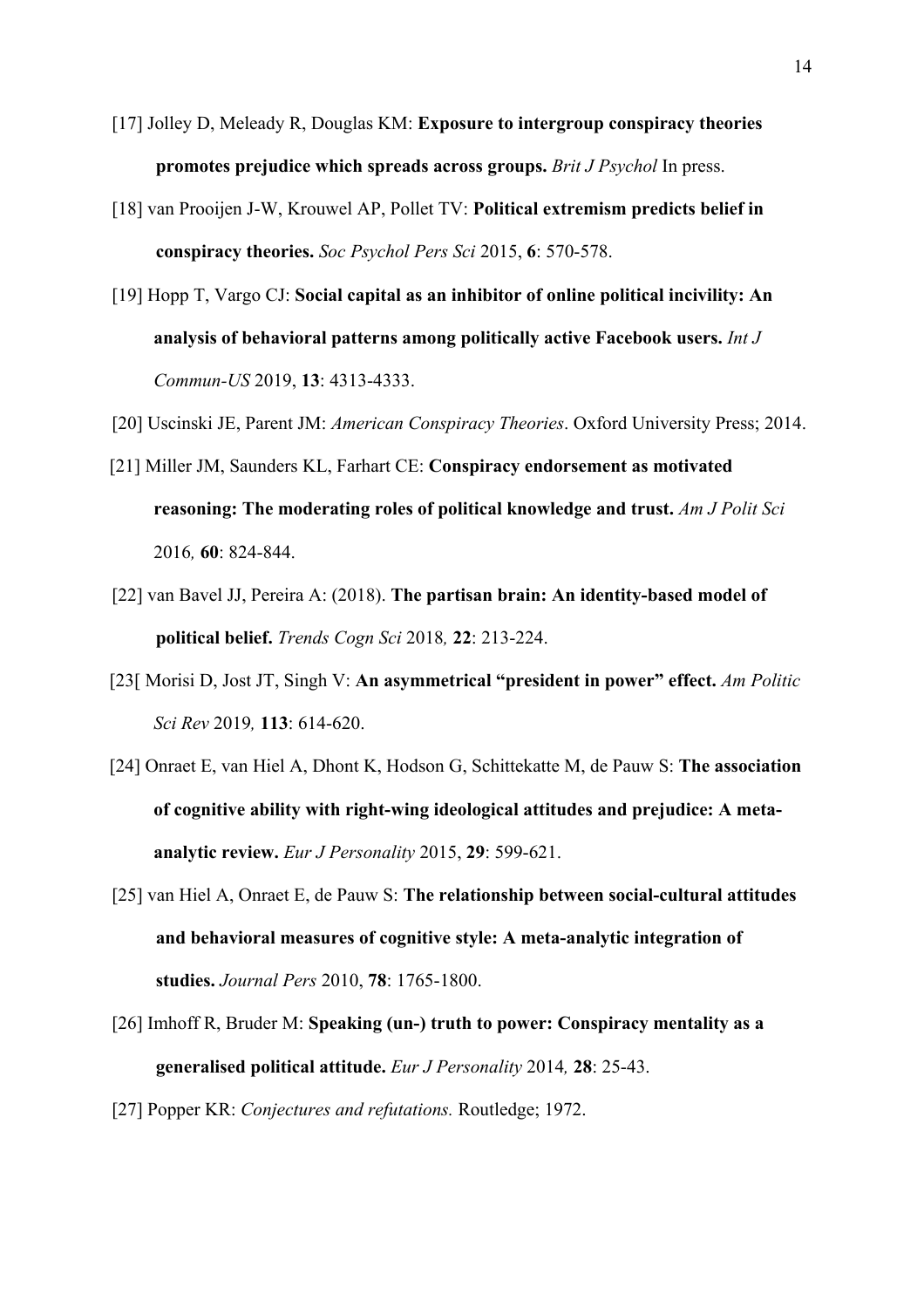- [17] Jolley D, Meleady R, Douglas KM: **Exposure to intergroup conspiracy theories promotes prejudice which spreads across groups.** *Brit J Psychol* In press.
- [18] van Prooijen J-W, Krouwel AP, Pollet TV: **Political extremism predicts belief in conspiracy theories.** *Soc Psychol Pers Sci* 2015, **6**: 570-578.
- [19] Hopp T, Vargo CJ: **Social capital as an inhibitor of online political incivility: An analysis of behavioral patterns among politically active Facebook users.** *Int J Commun-US* 2019, **13**: 4313-4333.
- [20] Uscinski JE, Parent JM: *American Conspiracy Theories*. Oxford University Press; 2014.
- [21] Miller JM, Saunders KL, Farhart CE: **Conspiracy endorsement as motivated reasoning: The moderating roles of political knowledge and trust.** *Am J Polit Sci* 2016*,* **60**: 824-844.
- [22] van Bavel JJ, Pereira A: (2018). **The partisan brain: An identity-based model of political belief.** *Trends Cogn Sci* 2018*,* **22**: 213-224.
- [23[ Morisi D, Jost JT, Singh V: **An asymmetrical "president in power" effect.** *Am Politic Sci Rev* 2019*,* **113**: 614-620.
- [24] Onraet E, van Hiel A, Dhont K, Hodson G, Schittekatte M, de Pauw S: **The association of cognitive ability with right‐wing ideological attitudes and prejudice: A meta‐ analytic review.** *Eur J Personality* 2015, **29**: 599-621.
- [25] van Hiel A, Onraet E, de Pauw S: **The relationship between social‐cultural attitudes and behavioral measures of cognitive style: A meta‐analytic integration of studies.** *Journal Pers* 2010, **78**: 1765-1800.
- [26] Imhoff R, Bruder M: **Speaking (un‐) truth to power: Conspiracy mentality as a generalised political attitude.** *Eur J Personality* 2014*,* **28**: 25-43.
- [27] Popper KR: *Conjectures and refutations.* Routledge; 1972.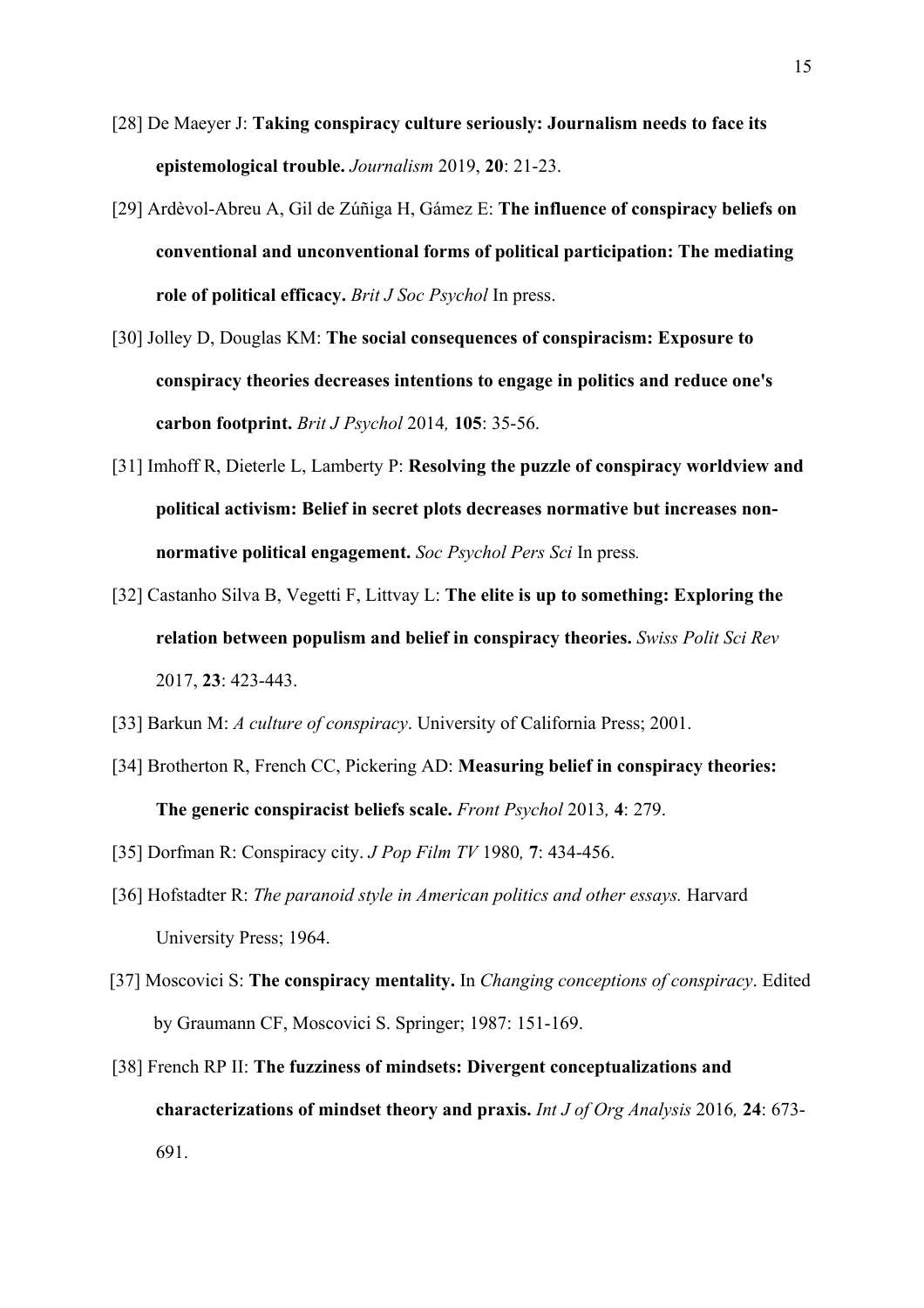- [28] De Maeyer J: **Taking conspiracy culture seriously: Journalism needs to face its epistemological trouble.** *Journalism* 2019, **20**: 21-23.
- [29] Ardèvol-Abreu A, Gil de Zúñiga H, Gámez E: **The influence of conspiracy beliefs on conventional and unconventional forms of political participation: The mediating role of political efficacy.** *Brit J Soc Psychol* In press.
- [30] Jolley D, Douglas KM: **The social consequences of conspiracism: Exposure to conspiracy theories decreases intentions to engage in politics and reduce one's carbon footprint.** *Brit J Psychol* 2014*,* **105**: 35-56.
- [31] Imhoff R, Dieterle L, Lamberty P: **Resolving the puzzle of conspiracy worldview and political activism: Belief in secret plots decreases normative but increases nonnormative political engagement.** *Soc Psychol Pers Sci* In press*.*
- [32] Castanho Silva B, Vegetti F, Littvay L: **The elite is up to something: Exploring the relation between populism and belief in conspiracy theories.** *Swiss Polit Sci Rev* 2017, **23**: 423-443.
- [33] Barkun M: *A culture of conspiracy*. University of California Press; 2001.
- [34] Brotherton R, French CC, Pickering AD: **Measuring belief in conspiracy theories: The generic conspiracist beliefs scale.** *Front Psychol* 2013*,* **4**: 279.
- [35] Dorfman R: Conspiracy city. *J Pop Film TV* 1980*,* **7**: 434-456.
- [36] Hofstadter R: *The paranoid style in American politics and other essays.* Harvard University Press; 1964.
- [37] Moscovici S: **The conspiracy mentality.** In *Changing conceptions of conspiracy*. Edited by Graumann CF, Moscovici S. Springer; 1987: 151-169.
- [38] French RP II: **The fuzziness of mindsets: Divergent conceptualizations and characterizations of mindset theory and praxis.** *Int J of Org Analysis* 2016*,* **24**: 673- 691.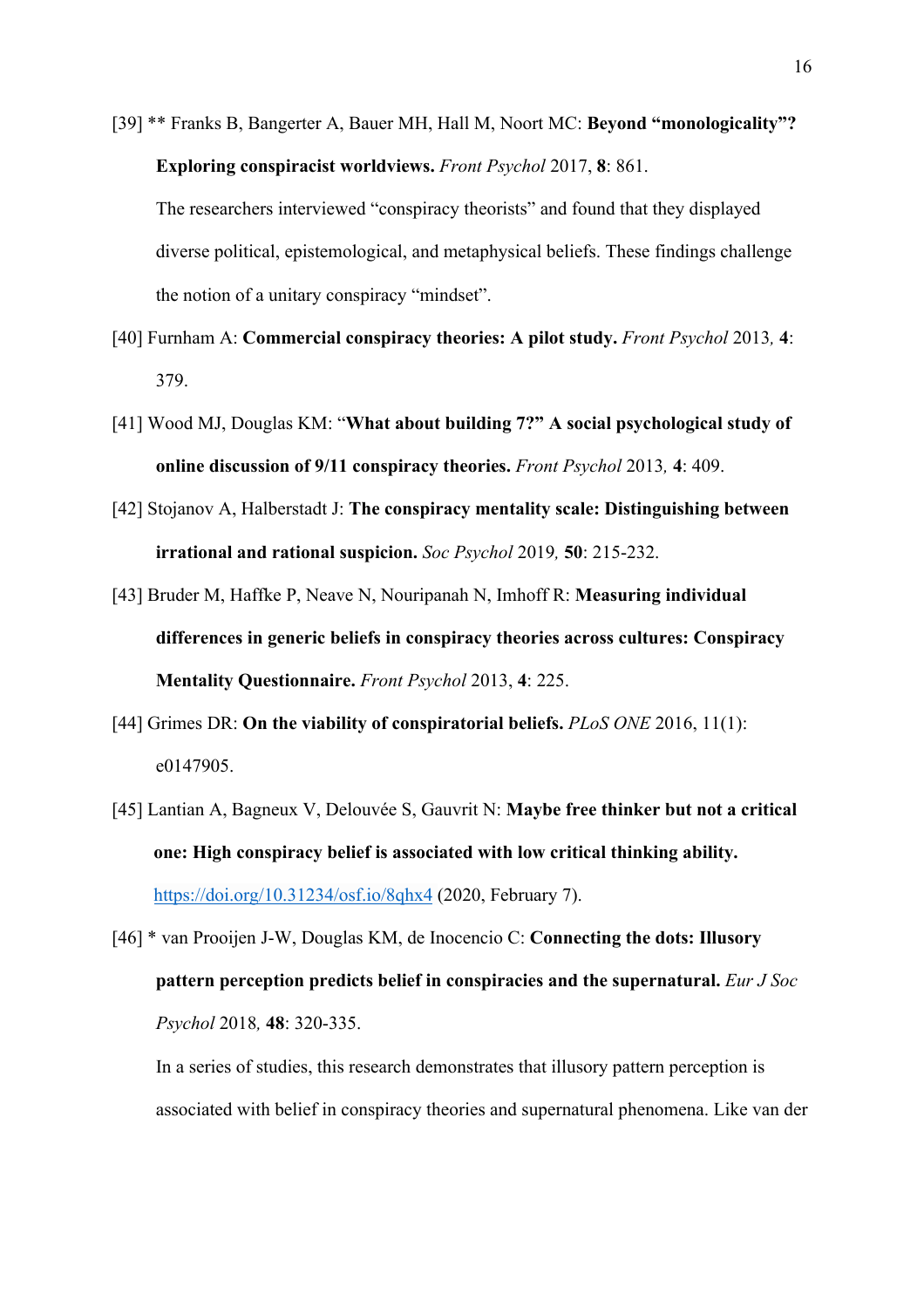[39] \*\* Franks B, Bangerter A, Bauer MH, Hall M, Noort MC: **Beyond "monologicality"? Exploring conspiracist worldviews.** *Front Psychol* 2017, **8**: 861.

The researchers interviewed "conspiracy theorists" and found that they displayed diverse political, epistemological, and metaphysical beliefs. These findings challenge the notion of a unitary conspiracy "mindset".

- [40] Furnham A: **Commercial conspiracy theories: A pilot study.** *Front Psychol* 2013*,* **4**: 379.
- [41] Wood MJ, Douglas KM: "**What about building 7?" A social psychological study of online discussion of 9/11 conspiracy theories.** *Front Psychol* 2013*,* **4**: 409.
- [42] Stojanov A, Halberstadt J: **The conspiracy mentality scale: Distinguishing between irrational and rational suspicion.** *Soc Psychol* 2019*,* **50**: 215-232.
- [43] Bruder M, Haffke P, Neave N, Nouripanah N, Imhoff R: **Measuring individual differences in generic beliefs in conspiracy theories across cultures: Conspiracy Mentality Questionnaire.** *Front Psychol* 2013, **4**: 225.
- [44] Grimes DR: **On the viability of conspiratorial beliefs.** *PLoS ONE* 2016, 11(1): e0147905.
- [45] Lantian A, Bagneux V, Delouvée S, Gauvrit N: **Maybe free thinker but not a critical one: High conspiracy belief is associated with low critical thinking ability.** https://doi.org/10.31234/osf.io/8qhx4 (2020, February 7).
- [46] \* van Prooijen J-W, Douglas KM, de Inocencio C: **Connecting the dots: Illusory pattern perception predicts belief in conspiracies and the supernatural.** *Eur J Soc Psychol* 2018*,* **48**: 320-335.

In a series of studies, this research demonstrates that illusory pattern perception is associated with belief in conspiracy theories and supernatural phenomena. Like van der